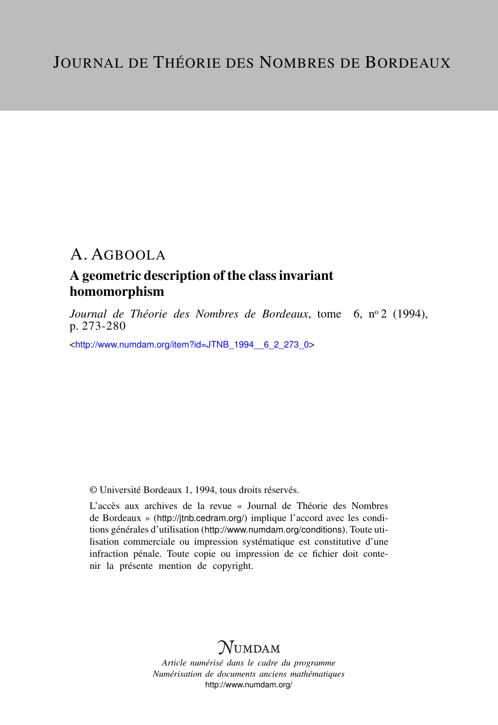### A geometric description of the class invariant homomorphism

*Journal de Théorie des Nombres de Bordeaux*, tome 6, n<sup>o</sup> 2 (1994), p. 273-280

<[http://www.numdam.org/item?id=JTNB\\_1994\\_\\_6\\_2\\_273\\_0](http://www.numdam.org/item?id=JTNB_1994__6_2_273_0)>

© Université Bordeaux 1, 1994, tous droits réservés.

L'accès aux archives de la revue « Journal de Théorie des Nombres de Bordeaux » (<http://jtnb.cedram.org/>) implique l'accord avec les conditions générales d'utilisation (<http://www.numdam.org/conditions>). Toute utilisation commerciale ou impression systématique est constitutive d'une infraction pénale. Toute copie ou impression de ce fichier doit contenir la présente mention de copyright.

# **NUMDAM**

*Article numérisé dans le cadre du programme Numérisation de documents anciens mathématiques* <http://www.numdam.org/>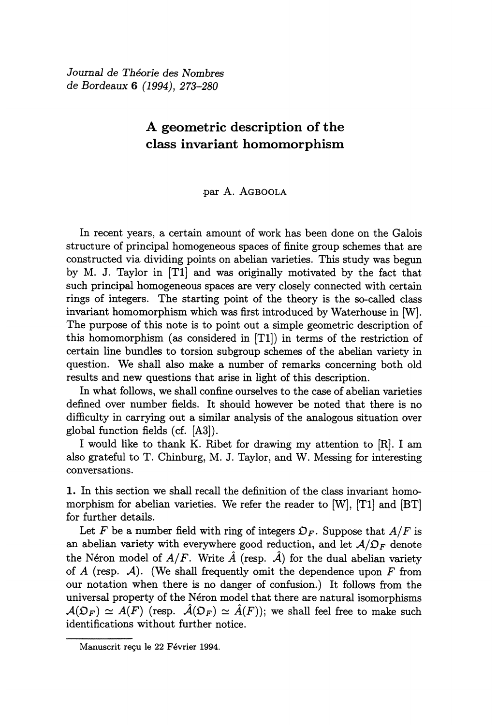Journal de Théorie des Nombres de Bordeaux 6 (1994), 273-280

### A geometric description of the class invariant homomorphism

### par A. AGBOOLA

In recent years, a certain amount of work has been done on the Galois structure of principal homogeneous spaces of finite group schemes that are constructed via dividing points on abelian varieties. This study was begun by M. J. Taylor in [Tl] and was originally motivated by the fact that such principal homogeneous spaces are very closely connected with certain rings of integers. The starting point of the theory is the so-called class invariant homomorphism which was first introduced by Waterhouse in [W]. The purpose of this note is to point out a simple geometric description of this homomorphism (as considered in [Tl]) in terms of the restriction of certain line bundles to torsion subgroup schemes of the abelian variety in question. We shall also make a number of remarks concerning both old results and new questions that arise in light of this description.

In what follows, we shall confine ourselves to the case of abelian varieties defined over number fields. It should however be noted that there is no difficulty in carrying out a similar analysis of the analogous situation over global function fields (cf. [A3]).

I would like to thank K. Ribet for drawing my attention to [R]. I am also grateful to T. Chinburg, M. J. Taylor, and W. Messing for interesting conversations.

1. In this section we shall recall the definition of the class invariant homomorphism for abelian varieties. We refer the reader to [W], [Tl] and [BT] for further details.

Let F be a number field with ring of integers  $\mathfrak{O}_F$ . Suppose that  $A/F$  is an abelian variety with everywhere good reduction, and let  $A/D_F$  denote the Néron model of  $A/F$ . Write  $\hat{A}$  (resp.  $\hat{A}$ ) for the dual abelian variety of A (resp.  $\mathcal{A}$ ). (We shall frequently omit the dependence upon F from our notation when there is no danger of confusion.) It follows from the universal property of the N6ron model that there are natural isomorphisms  $A(\mathcal{D}_F) \simeq A(F)$  (resp.  $\hat{A}(\mathcal{D}_F) \simeq \hat{A}(F)$ ); we shall feel free to make such identifications without further notice.

Manuscrit reçu le 22 Février 1994.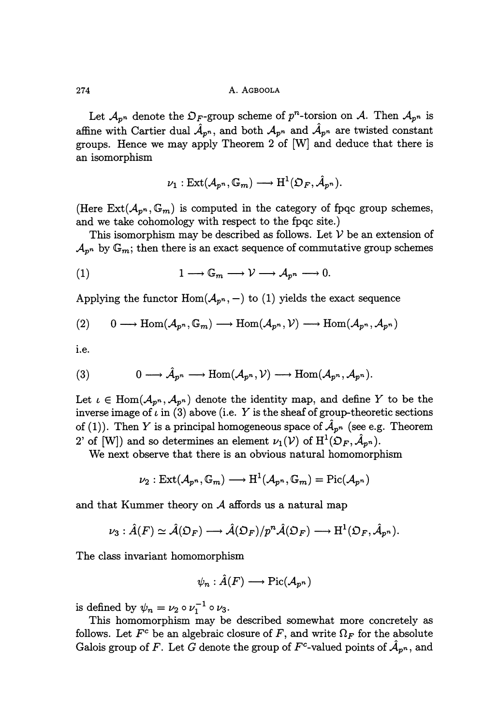Let  $\mathcal{A}_{p^n}$  denote the  $\mathcal{D}_F$ -group scheme of  $p^n$ -torsion on A. Then  $\mathcal{A}_{p^n}$  is affine with Cartier dual  $\hat{A}_{p^n}$ , and both  $A_{p^n}$  and  $\hat{A}_{p^n}$  are twisted constant groups. Hence we may apply Theorem 2 of [W] and deduce that there is an isomorphism

$$
\nu_1: \operatorname{Ext}(\mathcal{A}_{p^n}, \mathbb{G}_m) \longrightarrow \mathrm{H}^1(\mathfrak{O}_F, \hat{\mathcal{A}}_{p^n}).
$$

(Here  $Ext(\mathcal{A}_{p^n}, \mathbb{G}_m)$  is computed in the category of fpqc group schemes, and we take cohomology with respect to the fpqc site.)

This isomorphism may be described as follows. Let  $V$  be an extension of  $\mathcal{A}_{p^n}$  by  $\mathbb{G}_m$ ; then there is an exact sequence of commutative group schemes

(1) 
$$
1 \longrightarrow \mathbb{G}_m \longrightarrow \mathcal{V} \longrightarrow \mathcal{A}_{p^n} \longrightarrow 0
$$

Applying the functor  $\text{Hom}(\mathcal{A}_{p^n},-)$  to (1) yields the exact sequence

(2) 
$$
0 \longrightarrow \text{Hom}(\mathcal{A}_{p^n}, \mathbb{G}_m) \longrightarrow \text{Hom}(\mathcal{A}_{p^n}, \mathcal{V}) \longrightarrow \text{Hom}(\mathcal{A}_{p^n}, \mathcal{A}_{p^n})
$$

i.e.

(3) 
$$
0 \longrightarrow \hat{\mathcal{A}}_{p^n} \longrightarrow \text{Hom}(\mathcal{A}_{p^n}, \mathcal{V}) \longrightarrow \text{Hom}(\mathcal{A}_{p^n}, \mathcal{A}_{p^n}).
$$

Let  $\iota \in \text{Hom}(\mathcal{A}_{p^n}, \mathcal{A}_{p^n})$  denote the identity map, and define Y to be the inverse image of  $\iota$  in (3) above (i.e. Y is the sheaf of group-theoretic sections of (1)). Then Y is a principal homogeneous space of  $\hat{A}_{p^n}$  (see e.g. Theorem 2' of [W]) and so determines an element  $\nu_1(\mathcal{V})$  of  $\mathrm{H}^1(\mathfrak{O}_F,\mathcal{A}_{p^n}).$ 

We next observe that there is an obvious natural homomorphism

$$
\nu_2: \operatorname{Ext}(\mathcal{A}_{p^n}, \mathbb{G}_m) \longrightarrow \operatorname{H}^1(\mathcal{A}_{p^n}, \mathbb{G}_m) = \operatorname{Pic}(\mathcal{A}_{p^n})
$$

and that Kummer theory on  $A$  affords us a natural map

$$
\nu_3: \hat{A}(F) \simeq \hat{\mathcal{A}}(\mathfrak{O}_F) \longrightarrow \hat{\mathcal{A}}(\mathfrak{O}_F)/p^n\hat{\mathcal{A}}(\mathfrak{O}_F) \longrightarrow \mathrm{H}^1(\mathfrak{O}_F, \hat{\mathcal{A}}_{p^n}).
$$

The class invariant homomorphism

$$
\psi_n:\hat{A}(F)\longrightarrow \mathrm{Pic}({\mathcal A}_{p^n})
$$

is defined by  $\psi_n = \nu_2 \circ \nu_1^{-1} \circ \nu_3$ .

This homomorphism may be described somewhat more concretely as follows. Let  $F^c$  be an algebraic closure of F, and write  $\Omega_F$  for the absolute Galois group of F. Let G denote the group of  $F^c$ -valued points of  $\mathcal{A}_{p^n}$ , and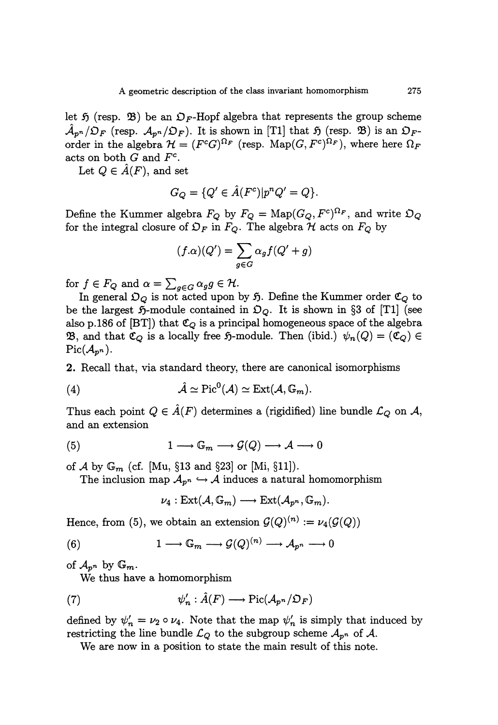let 5 (resp.  $\mathfrak{B}$ ) be an  $\mathfrak{O}_F$ -Hopf algebra that represents the group scheme  $\mathcal{A}_{p^n}/\mathcal{D}_F$  (resp.  $\mathcal{A}_{p^n}/\mathcal{D}_F$ ). It is shown in [T1] that  $\mathfrak{H}$  (resp.  $\mathfrak{B}$ ) is an  $\mathcal{D}_F$ order in the algebra  $\mathcal{H} = (F^cG)^{\Omega_F}$  (resp. Map(G,  $F^c)^{\Omega_F}$ ), where here  $\Omega_F$ acts on both  $G$  and  $F<sup>c</sup>$ .

Let  $Q \in \hat{A}(F)$ , and set

$$
G_Q = \{Q' \in \hat{A}(F^c) | p^n Q' = Q\}.
$$

Define the Kummer algebra  $F_Q$  by  $F_Q = \text{Map}(G_Q, F^c)^{\Omega_F}$ , and write  $\mathfrak{O}_Q$ for the integral closure of  $\mathfrak{O}_F$  in  $F_Q$ . The algebra H acts on  $F_Q$  by

$$
(f.\alpha)(Q') = \sum_{g \in G} \alpha_g f(Q' + g)
$$

for  $f \in F_Q$  and  $\alpha = \sum_{g \in G} \alpha_g g \in \mathcal{H}$ .

In general  $\mathfrak{O}_Q$  is not acted upon by 5. Define the Kummer order  $\mathfrak{C}_Q$  to be the largest  $\mathfrak{H}\text{-module contained in }\mathfrak{O}_Q$ . It is shown in §3 of [T1] (see also p.186 of [BT]) that  $\mathfrak{C}_Q$  is a principal homogeneous space of the algebra **23**, and that  $\mathfrak{C}_Q$  is a locally free  $\mathfrak{H}$ -module. Then (ibid.)  $\psi_n(Q) = (\mathfrak{C}_Q) \in$  Pic( $\mathcal{A}_{p^n}$ ).

2. Recall that, via standard theory, there are canonical isomorphisms

(4) 
$$
\hat{\mathcal{A}} \simeq \mathrm{Pic}^0(\mathcal{A}) \simeq \mathrm{Ext}(\mathcal{A}, \mathbb{G}_m).
$$

Thus each point  $Q \in \mathcal{A}(F)$  determines a (rigidified) line bundle  $\mathcal{L}_Q$  on  $\mathcal{A}$ , and an extension

(5) 
$$
1 \longrightarrow \mathbb{G}_m \longrightarrow \mathcal{G}(Q) \longrightarrow \mathcal{A} \longrightarrow 0
$$

of A by  $\mathbb{G}_m$  (cf. [Mu, §13 and §23] or [Mi, §11]).

The inclusion map  $\mathcal{A}_{p^n} \hookrightarrow \mathcal{A}$  induces a natural homomorphism

$$
\nu_4: \text{Ext}(\mathcal{A},\mathbb{G}_m)\longrightarrow \text{Ext}(\mathcal{A}_{p^n},\mathbb{G}_m).
$$

Hence, from (5), we obtain an extension  $\mathcal{G}(Q)^{(n)} := \nu_4(\mathcal{G}(Q))$ 

(6) 
$$
1 \longrightarrow \mathbb{G}_m \longrightarrow \mathcal{G}(Q)^{(n)} \longrightarrow \mathcal{A}_{p^n} \longrightarrow 0
$$

of  $\mathcal{A}_{p^n}$  by  $\mathbb{G}_m$ .

We thus have a homomorphism

(7) 
$$
\psi'_n : \hat{A}(F) \longrightarrow \text{Pic}(\mathcal{A}_{p^n}/\mathfrak{O}_F)
$$

defined by  $\psi'_n = \nu_2 \circ \nu_4$ . Note that the map  $\psi'_n$  is simply that induced by restricting the line bundle  $\mathcal{L}_{Q}$  to the subgroup scheme  $\mathcal{A}_{p^{n}}$  of  $\mathcal{A}$ .

We are now in a position to state the main result of this note.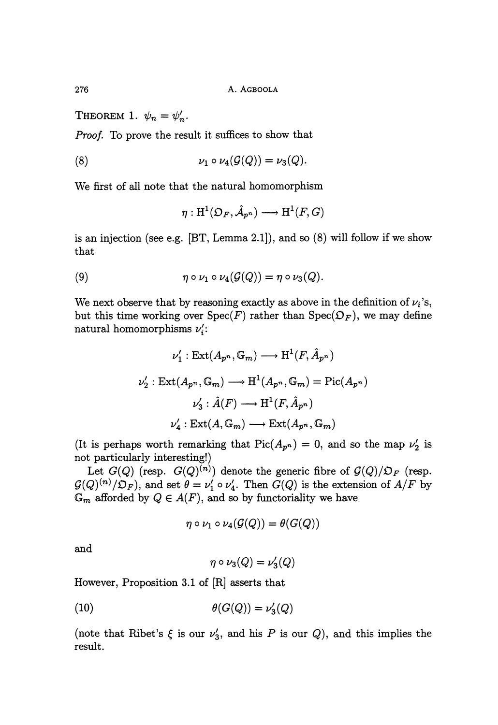THEOREM 1.  $\psi_n = \psi'_n$ .

Proof.. To prove the result it suffices to show that

$$
\nu_1 \circ \nu_4(\mathcal{G}(Q)) = \nu_3(Q).
$$

We first of all note that the natural homomorphism

$$
\eta: \mathrm{H}^1(\mathfrak{O}_F, \hat{\mathcal{A}}_{p^n}) \longrightarrow \mathrm{H}^1(F,G)
$$

is an injection (see e.g. [BT, Lemma 2.1]), and so (8) will follow if we show that

(9) 
$$
\eta \circ \nu_1 \circ \nu_4(\mathcal{G}(Q)) = \eta \circ \nu_3(Q).
$$

We next observe that by reasoning exactly as above in the definition of  $\nu_i$ 's, but this time working over  $Spec(F)$  rather than  $Spec(\mathfrak{O}_F)$ , we may define natural homomorphisms  $\nu_i'$ :

$$
\nu'_1: \text{Ext}(A_{p^n}, \mathbb{G}_m) \longrightarrow \text{H}^1(F, \hat{A}_{p^n})
$$

$$
\nu'_2: \text{Ext}(A_{p^n}, \mathbb{G}_m) \longrightarrow \text{H}^1(A_{p^n}, \mathbb{G}_m) = \text{Pic}(A_{p^n})
$$

$$
\nu'_3: \hat{A}(F) \longrightarrow \text{H}^1(F, \hat{A}_{p^n})
$$

$$
\nu'_4: \text{Ext}(A, \mathbb{G}_m) \longrightarrow \text{Ext}(A_{p^n}, \mathbb{G}_m)
$$

(It is perhaps worth remarking that  $Pic(A_{p^n}) = 0$ , and so the map  $\nu'_2$  is not particularly interesting!)

Let  $G(Q)$  (resp.  $G(Q)^{(n)}$ ) denote the generic fibre of  $G(Q)/\mathfrak{O}_F$  (resp.  $G(Q)^{(n)}/\mathcal{D}_F$ , and set  $\theta = \nu'_1 \circ \nu'_4$ . Then  $\widetilde{G}(Q)$  is the extension of  $A/F$  by  $\mathbb{G}_m$  afforded by  $Q \in A(F)$ , and so by functoriality we have

$$
\eta \circ \nu_1 \circ \nu_4(\mathcal{G}(Q)) = \theta(G(Q))
$$

and

$$
\eta \circ \nu_3(Q) = \nu_3'(Q)
$$

However, Proposition 3.1 of [R] asserts that

$$
\theta(G(Q)) = \nu_3'(Q)
$$

(note that Ribet's  $\xi$  is our  $\nu'_3$ , and his P is our Q), and this implies the result.

276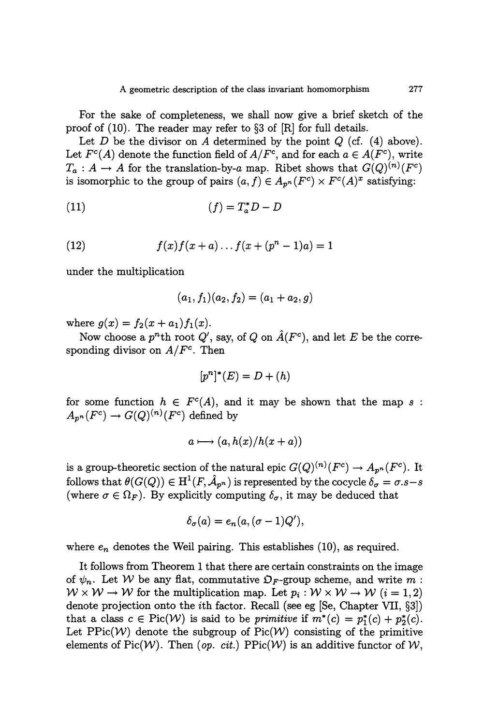For the sake of completeness, we shall now give a brief sketch of the proof of (10). The reader may refer to §3 of [R] for full details.

Let D be the divisor on A determined by the point  $Q$  (cf. (4) above). Let  $F^c(A)$  denote the function field of  $A/F^c$ , and for each  $a \in A(F^c)$ , write  $T_a: A \to A$  for the translation-by-a map. Ribet shows that  $G(Q)^{(n)}(F^c)$ is isomorphic to the group of pairs  $(a, f) \in A_{p^n}(F^c) \times F^c(A)^x$  satisfying:

$$
(11)\qquad \qquad (f) = T_a^* D - D
$$

(12) 
$$
f(x)f(x+a)...f(x+(p^{n}-1)a) = 1
$$

under the multiplication

$$
(a_1, f_1)(a_2, f_2) = (a_1 + a_2, g)
$$

where  $g(x) = f_2(x + a_1) f_1(x)$ .

Now choose a  $p^n$ <sup>th</sup> root  $Q'$ , say, of  $Q$  on  $\hat{A}(F^c)$ , and let  $E$  be the corresponding divisor on  $A/F<sup>c</sup>$ . Then

$$
[p^n]^*(E) = D + (h)
$$

for some function  $h \in F^c(A)$ , and it may be shown that the map s:  $A_{p^n}(F^c) \to G(Q)^{(n)}(F^c)$  defined by

$$
a \longmapsto (a, h(x)/h(x+a))
$$

is a group-theoretic section of the natural epic  $G(Q)^{(n)}(F^c) \to A_{p^n}(F^c)$ . It follows that  $\theta(G(Q)) \in H^1(F, \hat{\mathcal{A}}_{p^n})$  is represented by the cocycle  $\delta_{\sigma} = \sigma.s - s$ (where  $\sigma \in \Omega_F$ ). By explicitly computing  $\delta_{\sigma}$ , it may be deduced that

$$
\delta_{\sigma}(a) = e_n(a, (\sigma - 1)Q'),
$$

where  $e_n$  denotes the Weil pairing. This establishes (10), as required.

It follows from Theorem 1 that there are certain constraints on the image of  $\psi_n$ . Let W be any flat, commutative  $\mathfrak{O}_F$ -group scheme, and write m:  $W \times W \rightarrow W$  for the multiplication map. Let  $p_i : W \times W \rightarrow W$   $(i = 1, 2)$ denote projection onto the ith factor. Recall (see eg [Se, Chapter VII, §3]) that a class  $c \in Pic(W)$  is said to be *primitive* if  $m^*(c) = p_1^*(c) + p_2^*(c)$ . Let  $PPic(\mathcal{W})$  denote the subgroup of  $Pic(\mathcal{W})$  consisting of the primitive elements of Pic(W). Then (op. cit.) PPic(W) is an additive functor of  $W$ ,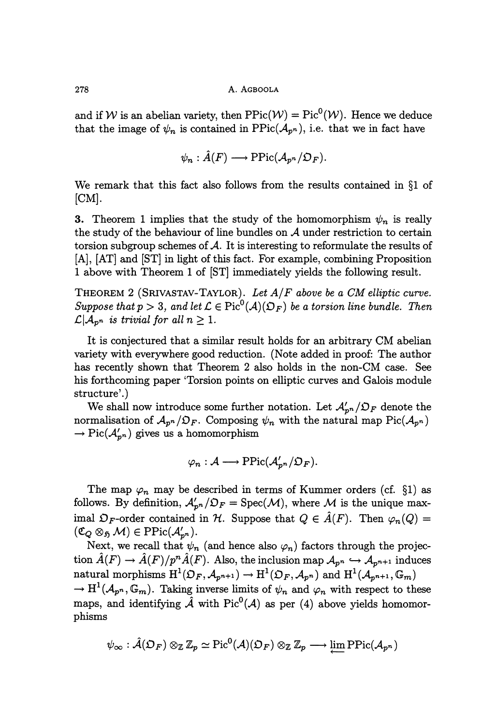and if W is an abelian variety, then  $\text{PPic}(\mathcal{W}) = \text{Pic}^0(\mathcal{W})$ . Hence we deduce that the image of  $\psi_n$  is contained in  $\text{PPic}(\mathcal{A}_{p^n})$ , i.e. that we in fact have

$$
\psi_n : \hat{A}(F) \longrightarrow \mathrm{PPic}(\mathcal{A}_{p^n}/\mathfrak{O}_F).
$$

We remark that this fact also follows from the results contained in §l of  $[CM]$ .

3. Theorem 1 implies that the study of the homomorphism  $\psi_n$  is really the study of the behaviour of line bundles on  $A$  under restriction to certain torsion subgroup schemes of  $\mathcal A$ . It is interesting to reformulate the results of [A], [AT] and [ST] in light of this fact. For example, combining Proposition 1 above with Theorem 1 of [ST] immediately yields the following result.

THEOREM 2 (SRIVASTAV-TAYLOR). Let  $A/F$  above be a CM elliptic curve. Suppose that  $p > 3$ , and let  $\mathcal{L} \in Pic^0(\mathcal{A})(\mathcal{D}_F)$  be a torsion line bundle. Then  $\mathcal{L}|\mathcal{A}_{p^n}$  is trivial for all  $n \geq 1$ .

It is conjectured that a similar result holds for an arbitrary CM abelian variety with everywhere good reduction. (Note added in proof: The author has recently shown that Theorem 2 also holds in the non-CM case. See his forthcoming paper 'Torsion points on elliptic curves and Galois module structure'.)

We shall now introduce some further notation. Let  $\mathcal{A}'_{p^n}/\mathcal{D}_F$  denote the normalisation of  $\mathcal{A}_{p^n}/\mathcal{D}_F$ . Composing  $\psi_n$  with the natural map Pic( $\mathcal{A}_{p^n}$ )  $\rightarrow Pic(\mathcal{A}_{p^n}')$  gives us a homomorphism

$$
\varphi_n : A \longrightarrow \mathrm{PPic}(\mathcal{A}'_{n^n}/\mathfrak{O}_F).
$$

The map  $\varphi_n$  may be described in terms of Kummer orders (cf. §1) as follows. By definition,  $\mathcal{A}_{p^n}/\mathcal{D}_F = \text{Spec}(\mathcal{M})$ , where M is the unique maximal  $\mathfrak{O}_F$ -order contained in  $\mathcal{H}$ . Suppose that  $Q \in \hat{A}(F)$ . Then  $\varphi_n(Q)$  =  $\begin{aligned} &\text{nonows. By denmiti}\ &\text{(Eq. 85 M)} \in \text{PPic}\ &\text{(Eq. 85 M)} \in \text{Preval} \ &\text{Next, we recall}\ &\text{if} \end{aligned}$ 

Next, we recall that  $\psi_n$  (and hence also  $\varphi_n$ ) factors through the projection  $\hat{A}(F) \to \hat{A}(F)/p^n \hat{A}(F)$ . Also, the inclusion map  $A_{p^n} \hookrightarrow A_{p^{n+1}}$  induces natural morphisms  $H^1(\mathfrak{O}_F, \mathcal{A}_{p^{n+1}}) \to H^1(\mathfrak{O}_F, \mathcal{A}_{p^n})$  and  $H^1(\mathcal{A}_{p^{n+1}}, \mathbb{G}_m)$  $\to H^1(\mathcal{A}_{p^n}, \mathbb{G}_m)$ . Taking inverse limits of  $\psi_n$  and  $\varphi_n$  with respect to these maps, and identifying  $\hat{\mathcal{A}}$  with Pic<sup>0</sup>( $\hat{\mathcal{A}}$ ) as per (4) above yields homomorphisms

$$
\psi_\infty : \hat{\mathcal{A}}(\mathfrak{O}_F) \otimes_{\mathbb{Z}} \mathbb{Z}_p \simeq \mathrm{Pic}^0(\mathcal{A})(\mathfrak{O}_F) \otimes_{\mathbb{Z}} \mathbb{Z}_p \longrightarrow \lim \mathrm{PPic}(\mathcal{A}_{p^n})
$$

278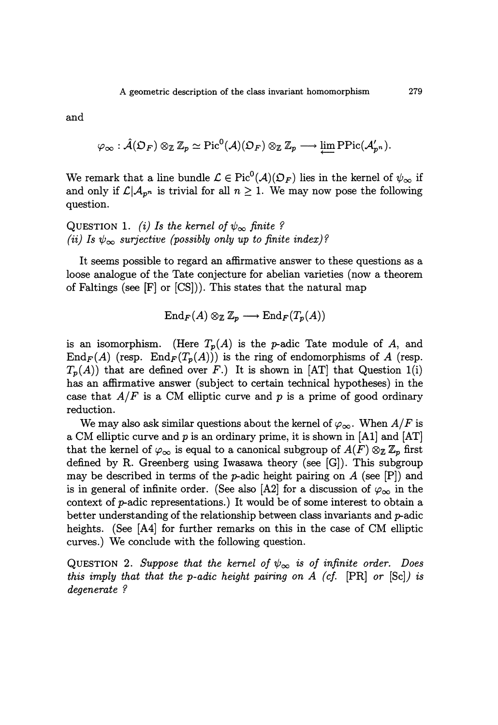and

$$
\varphi_{\infty} : \hat{\mathcal{A}}(\mathfrak{O}_F) \otimes_{\mathbb{Z}} \mathbb{Z}_p \simeq \mathrm{Pic}^0(\mathcal{A})(\mathfrak{O}_F) \otimes_{\mathbb{Z}} \mathbb{Z}_p \longrightarrow \lim_{\longrightarrow} \mathrm{PPic}(\mathcal{A}_{p^n}).
$$

We remark that a line bundle  $\mathcal{L} \in Pic^0(\mathcal{A})(\mathfrak{O}_F)$  lies in the kernel of  $\psi_{\infty}$  if and only if  $\mathcal{L}|\mathcal{A}_{p^n}$  is trivial for all  $n \geq 1$ . We may now pose the following question.

QUESTION 1. *(i)* Is the kernel of  $\psi_{\infty}$  finite ? (ii) Is  $\psi_{\infty}$  surjective (possibly only up to finite index)?

It seems possible to regard an affirmative answer to these questions as a loose analogue of the Tate conjecture for abelian varieties (now a theorem of Faltings (see [F] or [CS])). This states that the natural map

$$
\operatorname{End}_F(A) \otimes_{\mathbb{Z}} \mathbb{Z}_p \longrightarrow \operatorname{End}_F(T_p(A))
$$

is an isomorphism. (Here  $T_p(A)$  is the *p*-adic Tate module of A, and  $\text{End}_F(A)$  (resp.  $\text{End}_F(T_p(A))$ ) is the ring of endomorphisms of A (resp.  $T_p(A)$ ) that are defined over F.) It is shown in [AT] that Question 1(i) has an affirmative answer (subject to certain technical hypotheses) in the case that  $A/F$  is a CM elliptic curve and p is a prime of good ordinary reduction.

We may also ask similar questions about the kernel of  $\varphi_{\infty}$ . When  $A/F$  is a CM elliptic curve and  $p$  is an ordinary prime, it is shown in [A1] and [AT] that the kernel of  $\varphi_{\infty}$  is equal to a canonical subgroup of  $A(F) \otimes_{\mathbb{Z}} \mathbb{Z}_p$  first defined by R. Greenberg using Iwasawa theory (see [G]). This subgroup may be described in terms of the *p*-adic height pairing on  $A$  (see [P]) and is in general of infinite order. (See also [A2] for a discussion of  $\varphi_{\infty}$  in the context of p-adic representations.) It would be of some interest to obtain a better understanding of the relationship between class invariants and  $p$ -adic heights. (See [A4] for further remarks on this in the case of CM elliptic curves.) We conclude with the following question.

QUESTION 2. Suppose that the kernel of  $\psi_{\infty}$  is of infinite order. Does this imply that that the p-adic height pairing on  $A$  (cf. [PR] or [Sc]) is degenerate ?